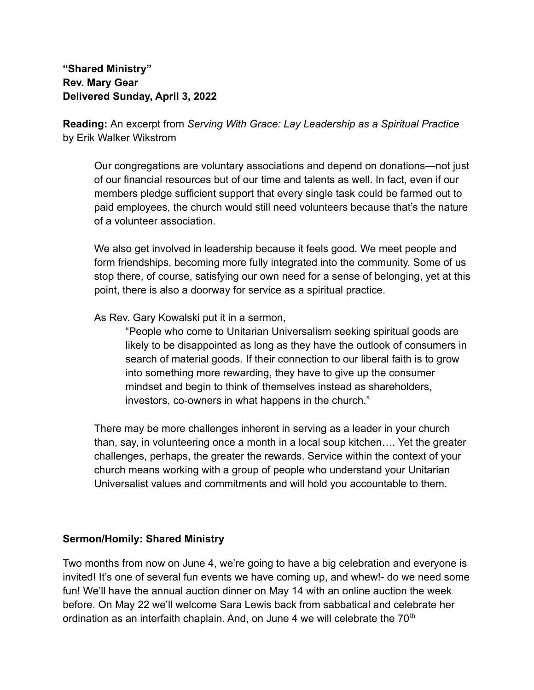**"Shared Ministry" Rev. Mary Gear Delivered Sunday, April 3, 2022**

**Reading:** An excerpt from *Serving With Grace: Lay Leadership as a Spiritual Practice* by Erik Walker Wikstrom

Our congregations are voluntary associations and depend on donations—not just of our financial resources but of our time and talents as well. In fact, even if our members pledge sufficient support that every single task could be farmed out to paid employees, the church would still need volunteers because that's the nature of a volunteer association.

We also get involved in leadership because it feels good. We meet people and form friendships, becoming more fully integrated into the community. Some of us stop there, of course, satisfying our own need for a sense of belonging, yet at this point, there is also a doorway for service as a spiritual practice.

As Rev. Gary Kowalski put it in a sermon,

"People who come to Unitarian Universalism seeking spiritual goods are likely to be disappointed as long as they have the outlook of consumers in search of material goods. If their connection to our liberal faith is to grow into something more rewarding, they have to give up the consumer mindset and begin to think of themselves instead as shareholders, investors, co-owners in what happens in the church."

There may be more challenges inherent in serving as a leader in your church than, say, in volunteering once a month in a local soup kitchen…. Yet the greater challenges, perhaps, the greater the rewards. Service within the context of your church means working with a group of people who understand your Unitarian Universalist values and commitments and will hold you accountable to them.

## **Sermon/Homily: Shared Ministry**

Two months from now on June 4, we're going to have a big celebration and everyone is invited! It's one of several fun events we have coming up, and whew!- do we need some fun! We'll have the annual auction dinner on May 14 with an online auction the week before. On May 22 we'll welcome Sara Lewis back from sabbatical and celebrate her ordination as an interfaith chaplain. And, on June 4 we will celebrate the  $70<sup>th</sup>$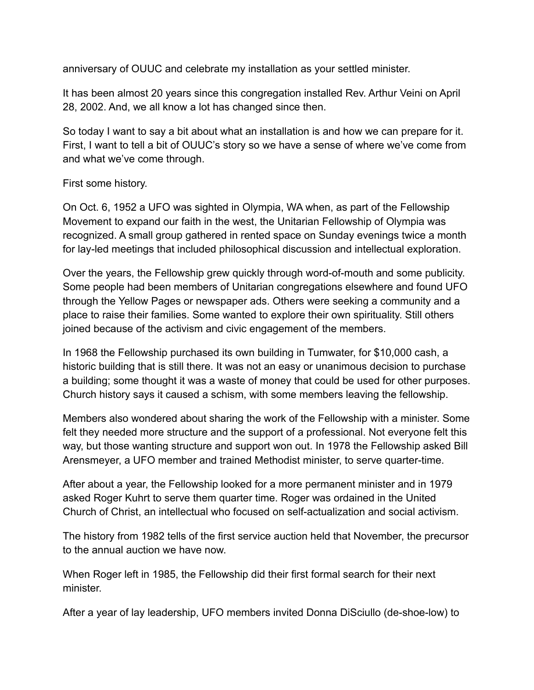anniversary of OUUC and celebrate my installation as your settled minister.

It has been almost 20 years since this congregation installed Rev. Arthur Veini on April 28, 2002. And, we all know a lot has changed since then.

So today I want to say a bit about what an installation is and how we can prepare for it. First, I want to tell a bit of OUUC's story so we have a sense of where we've come from and what we've come through.

## First some history.

On Oct. 6, 1952 a UFO was sighted in Olympia, WA when, as part of the Fellowship Movement to expand our faith in the west, the Unitarian Fellowship of Olympia was recognized. A small group gathered in rented space on Sunday evenings twice a month for lay-led meetings that included philosophical discussion and intellectual exploration.

Over the years, the Fellowship grew quickly through word-of-mouth and some publicity. Some people had been members of Unitarian congregations elsewhere and found UFO through the Yellow Pages or newspaper ads. Others were seeking a community and a place to raise their families. Some wanted to explore their own spirituality. Still others joined because of the activism and civic engagement of the members.

In 1968 the Fellowship purchased its own building in Tumwater, for \$10,000 cash, a historic building that is still there. It was not an easy or unanimous decision to purchase a building; some thought it was a waste of money that could be used for other purposes. Church history says it caused a schism, with some members leaving the fellowship.

Members also wondered about sharing the work of the Fellowship with a minister. Some felt they needed more structure and the support of a professional. Not everyone felt this way, but those wanting structure and support won out. In 1978 the Fellowship asked Bill Arensmeyer, a UFO member and trained Methodist minister, to serve quarter-time.

After about a year, the Fellowship looked for a more permanent minister and in 1979 asked Roger Kuhrt to serve them quarter time. Roger was ordained in the United Church of Christ, an intellectual who focused on self-actualization and social activism.

The history from 1982 tells of the first service auction held that November, the precursor to the annual auction we have now.

When Roger left in 1985, the Fellowship did their first formal search for their next minister.

After a year of lay leadership, UFO members invited Donna DiSciullo (de-shoe-low) to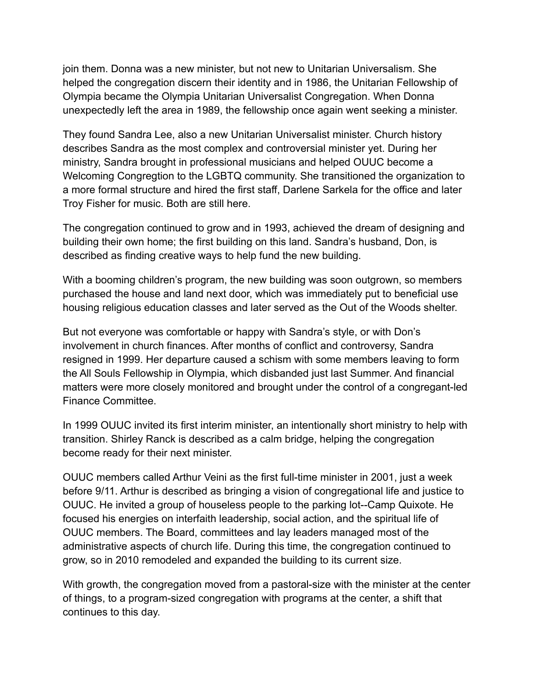join them. Donna was a new minister, but not new to Unitarian Universalism. She helped the congregation discern their identity and in 1986, the Unitarian Fellowship of Olympia became the Olympia Unitarian Universalist Congregation. When Donna unexpectedly left the area in 1989, the fellowship once again went seeking a minister.

They found Sandra Lee, also a new Unitarian Universalist minister. Church history describes Sandra as the most complex and controversial minister yet. During her ministry, Sandra brought in professional musicians and helped OUUC become a Welcoming Congregtion to the LGBTQ community. She transitioned the organization to a more formal structure and hired the first staff, Darlene Sarkela for the office and later Troy Fisher for music. Both are still here.

The congregation continued to grow and in 1993, achieved the dream of designing and building their own home; the first building on this land. Sandra's husband, Don, is described as finding creative ways to help fund the new building.

With a booming children's program, the new building was soon outgrown, so members purchased the house and land next door, which was immediately put to beneficial use housing religious education classes and later served as the Out of the Woods shelter.

But not everyone was comfortable or happy with Sandra's style, or with Don's involvement in church finances. After months of conflict and controversy, Sandra resigned in 1999. Her departure caused a schism with some members leaving to form the All Souls Fellowship in Olympia, which disbanded just last Summer. And financial matters were more closely monitored and brought under the control of a congregant-led Finance Committee.

In 1999 OUUC invited its first interim minister, an intentionally short ministry to help with transition. Shirley Ranck is described as a calm bridge, helping the congregation become ready for their next minister.

OUUC members called Arthur Veini as the first full-time minister in 2001, just a week before 9/11. Arthur is described as bringing a vision of congregational life and justice to OUUC. He invited a group of houseless people to the parking lot--Camp Quixote. He focused his energies on interfaith leadership, social action, and the spiritual life of OUUC members. The Board, committees and lay leaders managed most of the administrative aspects of church life. During this time, the congregation continued to grow, so in 2010 remodeled and expanded the building to its current size.

With growth, the congregation moved from a pastoral-size with the minister at the center of things, to a program-sized congregation with programs at the center, a shift that continues to this day.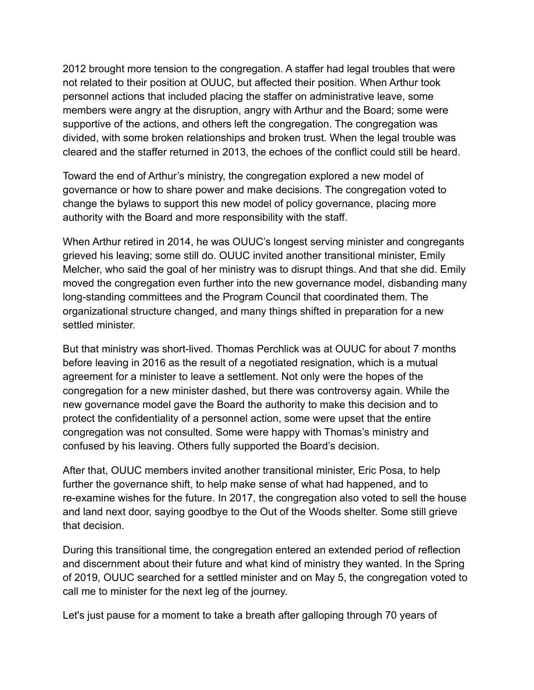2012 brought more tension to the congregation. A staffer had legal troubles that were not related to their position at OUUC, but affected their position. When Arthur took personnel actions that included placing the staffer on administrative leave, some members were angry at the disruption, angry with Arthur and the Board; some were supportive of the actions, and others left the congregation. The congregation was divided, with some broken relationships and broken trust. When the legal trouble was cleared and the staffer returned in 2013, the echoes of the conflict could still be heard.

Toward the end of Arthur's ministry, the congregation explored a new model of governance or how to share power and make decisions. The congregation voted to change the bylaws to support this new model of policy governance, placing more authority with the Board and more responsibility with the staff.

When Arthur retired in 2014, he was OUUC's longest serving minister and congregants grieved his leaving; some still do. OUUC invited another transitional minister, Emily Melcher, who said the goal of her ministry was to disrupt things. And that she did. Emily moved the congregation even further into the new governance model, disbanding many long-standing committees and the Program Council that coordinated them. The organizational structure changed, and many things shifted in preparation for a new settled minister.

But that ministry was short-lived. Thomas Perchlick was at OUUC for about 7 months before leaving in 2016 as the result of a negotiated resignation, which is a mutual agreement for a minister to leave a settlement. Not only were the hopes of the congregation for a new minister dashed, but there was controversy again. While the new governance model gave the Board the authority to make this decision and to protect the confidentiality of a personnel action, some were upset that the entire congregation was not consulted. Some were happy with Thomas's ministry and confused by his leaving. Others fully supported the Board's decision.

After that, OUUC members invited another transitional minister, Eric Posa, to help further the governance shift, to help make sense of what had happened, and to re-examine wishes for the future. In 2017, the congregation also voted to sell the house and land next door, saying goodbye to the Out of the Woods shelter. Some still grieve that decision.

During this transitional time, the congregation entered an extended period of reflection and discernment about their future and what kind of ministry they wanted. In the Spring of 2019, OUUC searched for a settled minister and on May 5, the congregation voted to call me to minister for the next leg of the journey.

Let's just pause for a moment to take a breath after galloping through 70 years of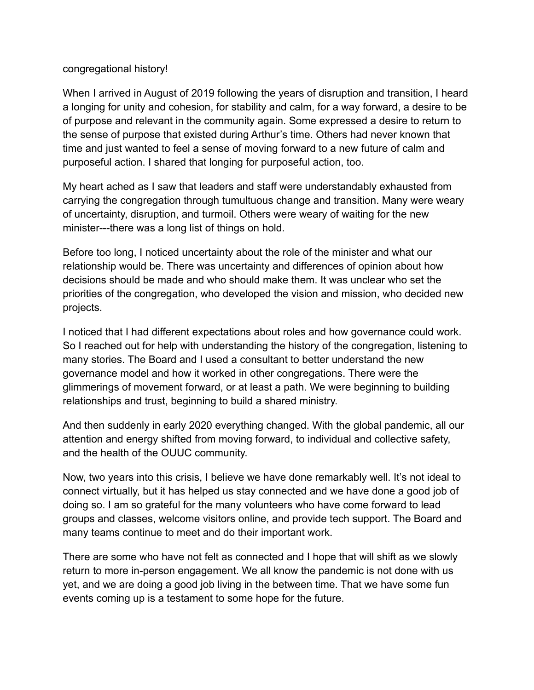## congregational history!

When I arrived in August of 2019 following the years of disruption and transition, I heard a longing for unity and cohesion, for stability and calm, for a way forward, a desire to be of purpose and relevant in the community again. Some expressed a desire to return to the sense of purpose that existed during Arthur's time. Others had never known that time and just wanted to feel a sense of moving forward to a new future of calm and purposeful action. I shared that longing for purposeful action, too.

My heart ached as I saw that leaders and staff were understandably exhausted from carrying the congregation through tumultuous change and transition. Many were weary of uncertainty, disruption, and turmoil. Others were weary of waiting for the new minister---there was a long list of things on hold.

Before too long, I noticed uncertainty about the role of the minister and what our relationship would be. There was uncertainty and differences of opinion about how decisions should be made and who should make them. It was unclear who set the priorities of the congregation, who developed the vision and mission, who decided new projects.

I noticed that I had different expectations about roles and how governance could work. So I reached out for help with understanding the history of the congregation, listening to many stories. The Board and I used a consultant to better understand the new governance model and how it worked in other congregations. There were the glimmerings of movement forward, or at least a path. We were beginning to building relationships and trust, beginning to build a shared ministry.

And then suddenly in early 2020 everything changed. With the global pandemic, all our attention and energy shifted from moving forward, to individual and collective safety, and the health of the OUUC community.

Now, two years into this crisis, I believe we have done remarkably well. It's not ideal to connect virtually, but it has helped us stay connected and we have done a good job of doing so. I am so grateful for the many volunteers who have come forward to lead groups and classes, welcome visitors online, and provide tech support. The Board and many teams continue to meet and do their important work.

There are some who have not felt as connected and I hope that will shift as we slowly return to more in-person engagement. We all know the pandemic is not done with us yet, and we are doing a good job living in the between time. That we have some fun events coming up is a testament to some hope for the future.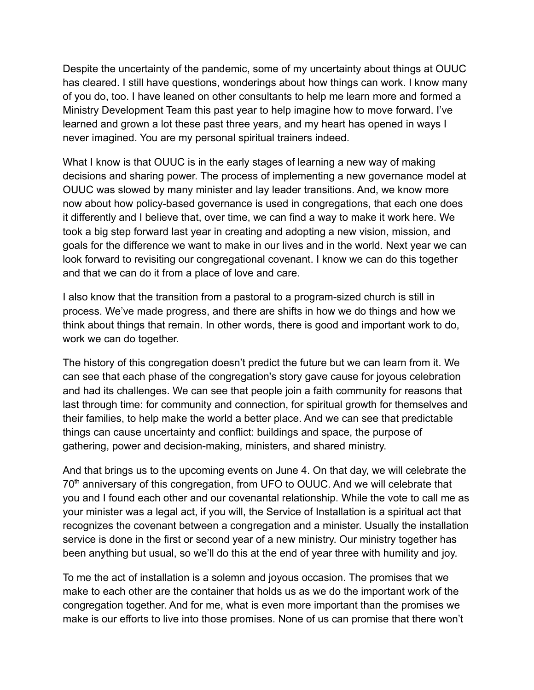Despite the uncertainty of the pandemic, some of my uncertainty about things at OUUC has cleared. I still have questions, wonderings about how things can work. I know many of you do, too. I have leaned on other consultants to help me learn more and formed a Ministry Development Team this past year to help imagine how to move forward. I've learned and grown a lot these past three years, and my heart has opened in ways I never imagined. You are my personal spiritual trainers indeed.

What I know is that OUUC is in the early stages of learning a new way of making decisions and sharing power. The process of implementing a new governance model at OUUC was slowed by many minister and lay leader transitions. And, we know more now about how policy-based governance is used in congregations, that each one does it differently and I believe that, over time, we can find a way to make it work here. We took a big step forward last year in creating and adopting a new vision, mission, and goals for the difference we want to make in our lives and in the world. Next year we can look forward to revisiting our congregational covenant. I know we can do this together and that we can do it from a place of love and care.

I also know that the transition from a pastoral to a program-sized church is still in process. We've made progress, and there are shifts in how we do things and how we think about things that remain. In other words, there is good and important work to do, work we can do together.

The history of this congregation doesn't predict the future but we can learn from it. We can see that each phase of the congregation's story gave cause for joyous celebration and had its challenges. We can see that people join a faith community for reasons that last through time: for community and connection, for spiritual growth for themselves and their families, to help make the world a better place. And we can see that predictable things can cause uncertainty and conflict: buildings and space, the purpose of gathering, power and decision-making, ministers, and shared ministry.

And that brings us to the upcoming events on June 4. On that day, we will celebrate the 70<sup>th</sup> anniversary of this congregation, from UFO to OUUC. And we will celebrate that you and I found each other and our covenantal relationship. While the vote to call me as your minister was a legal act, if you will, the Service of Installation is a spiritual act that recognizes the covenant between a congregation and a minister. Usually the installation service is done in the first or second year of a new ministry. Our ministry together has been anything but usual, so we'll do this at the end of year three with humility and joy.

To me the act of installation is a solemn and joyous occasion. The promises that we make to each other are the container that holds us as we do the important work of the congregation together. And for me, what is even more important than the promises we make is our efforts to live into those promises. None of us can promise that there won't